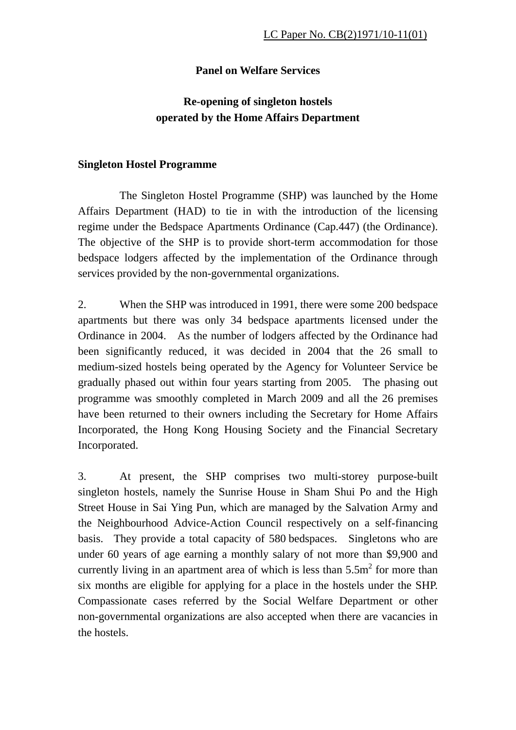## **Panel on Welfare Services**

## **Re-opening of singleton hostels operated by the Home Affairs Department**

## **Singleton Hostel Programme**

 The Singleton Hostel Programme (SHP) was launched by the Home Affairs Department (HAD) to tie in with the introduction of the licensing regime under the Bedspace Apartments Ordinance (Cap.447) (the Ordinance). The objective of the SHP is to provide short-term accommodation for those bedspace lodgers affected by the implementation of the Ordinance through services provided by the non-governmental organizations.

2. When the SHP was introduced in 1991, there were some 200 bedspace apartments but there was only 34 bedspace apartments licensed under the Ordinance in 2004. As the number of lodgers affected by the Ordinance had been significantly reduced, it was decided in 2004 that the 26 small to medium-sized hostels being operated by the Agency for Volunteer Service be gradually phased out within four years starting from 2005. The phasing out programme was smoothly completed in March 2009 and all the 26 premises have been returned to their owners including the Secretary for Home Affairs Incorporated, the Hong Kong Housing Society and the Financial Secretary Incorporated.

3. At present, the SHP comprises two multi-storey purpose-built singleton hostels, namely the Sunrise House in Sham Shui Po and the High Street House in Sai Ying Pun, which are managed by the Salvation Army and the Neighbourhood Advice-Action Council respectively on a self-financing basis. They provide a total capacity of 580 bedspaces. Singletons who are under 60 years of age earning a monthly salary of not more than \$9,900 and currently living in an apartment area of which is less than  $5.5m<sup>2</sup>$  for more than six months are eligible for applying for a place in the hostels under the SHP. Compassionate cases referred by the Social Welfare Department or other non-governmental organizations are also accepted when there are vacancies in the hostels.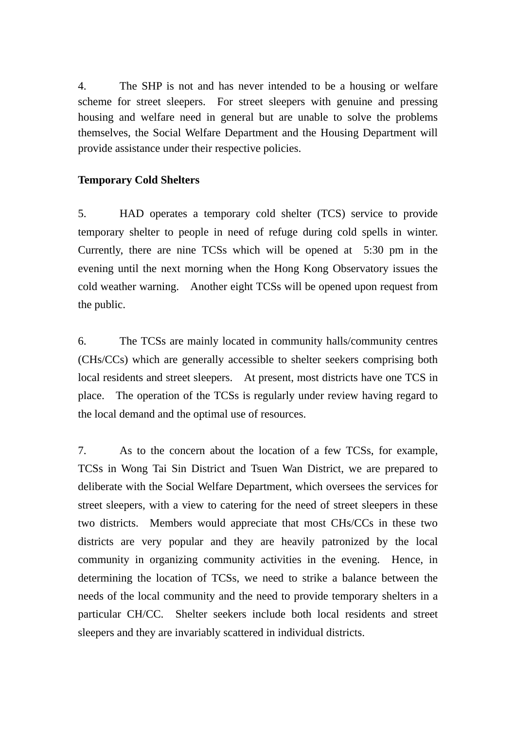4. The SHP is not and has never intended to be a housing or welfare scheme for street sleepers. For street sleepers with genuine and pressing housing and welfare need in general but are unable to solve the problems themselves, the Social Welfare Department and the Housing Department will provide assistance under their respective policies.

## **Temporary Cold Shelters**

5. HAD operates a temporary cold shelter (TCS) service to provide temporary shelter to people in need of refuge during cold spells in winter. Currently, there are nine TCSs which will be opened at 5:30 pm in the evening until the next morning when the Hong Kong Observatory issues the cold weather warning. Another eight TCSs will be opened upon request from the public.

6. The TCSs are mainly located in community halls/community centres (CHs/CCs) which are generally accessible to shelter seekers comprising both local residents and street sleepers. At present, most districts have one TCS in place. The operation of the TCSs is regularly under review having regard to the local demand and the optimal use of resources.

7. As to the concern about the location of a few TCSs, for example, TCSs in Wong Tai Sin District and Tsuen Wan District, we are prepared to deliberate with the Social Welfare Department, which oversees the services for street sleepers, with a view to catering for the need of street sleepers in these two districts. Members would appreciate that most CHs/CCs in these two districts are very popular and they are heavily patronized by the local community in organizing community activities in the evening. Hence, in determining the location of TCSs, we need to strike a balance between the needs of the local community and the need to provide temporary shelters in a particular CH/CC. Shelter seekers include both local residents and street sleepers and they are invariably scattered in individual districts.